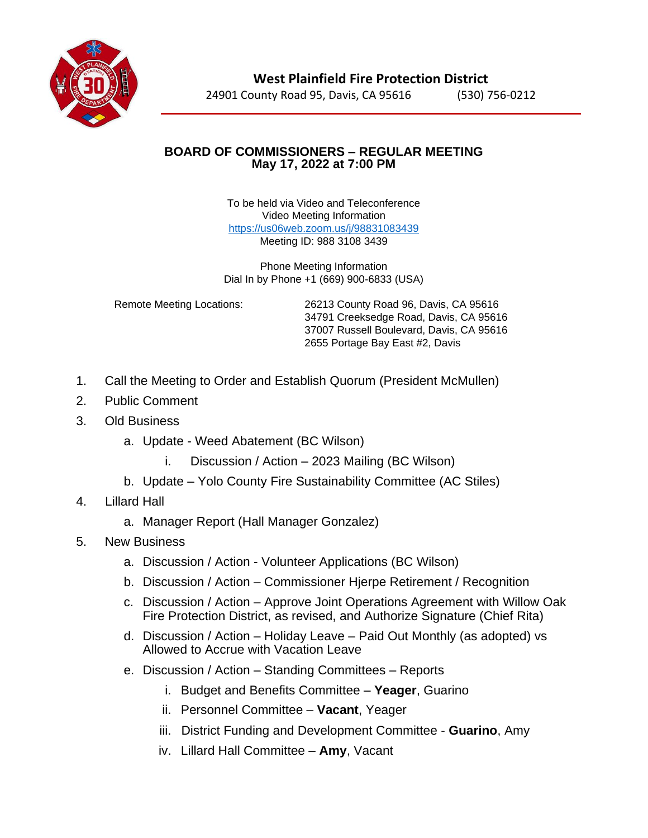

**West Plainfield Fire Protection District** 24901 County Road 95, Davis, CA 95616 (530) 756-0212

## **BOARD OF COMMISSIONERS – REGULAR MEETING May 17, 2022 at 7:00 PM**

To be held via Video and Teleconference Video Meeting Information <https://us06web.zoom.us/j/98831083439> Meeting ID: 988 3108 3439

Phone Meeting Information Dial In by Phone +1 (669) 900-6833 (USA)

Remote Meeting Locations: 26213 County Road 96, Davis, CA 95616 34791 Creeksedge Road, Davis, CA 95616 37007 Russell Boulevard, Davis, CA 95616 2655 Portage Bay East #2, Davis

- 1. Call the Meeting to Order and Establish Quorum (President McMullen)
- 2. Public Comment
- 3. Old Business
	- a. Update Weed Abatement (BC Wilson)
		- i. Discussion / Action 2023 Mailing (BC Wilson)
	- b. Update Yolo County Fire Sustainability Committee (AC Stiles)
- 4. Lillard Hall
	- a. Manager Report (Hall Manager Gonzalez)
- 5. New Business
	- a. Discussion / Action Volunteer Applications (BC Wilson)
	- b. Discussion / Action Commissioner Hjerpe Retirement / Recognition
	- c. Discussion / Action Approve Joint Operations Agreement with Willow Oak Fire Protection District, as revised, and Authorize Signature (Chief Rita)
	- d. Discussion / Action Holiday Leave Paid Out Monthly (as adopted) vs Allowed to Accrue with Vacation Leave
	- e. Discussion / Action Standing Committees Reports
		- i. Budget and Benefits Committee **Yeager**, Guarino
		- ii. Personnel Committee **Vacant**, Yeager
		- iii. District Funding and Development Committee **Guarino**, Amy
		- iv. Lillard Hall Committee **Amy**, Vacant